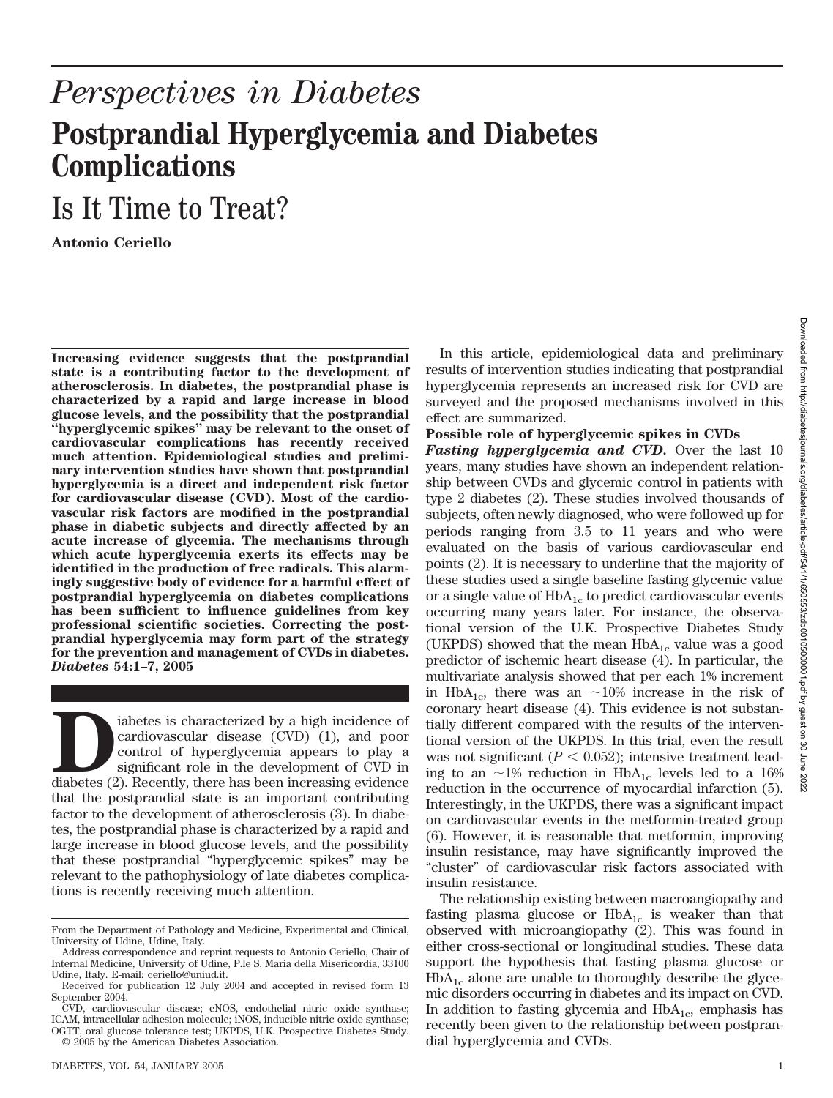## *Perspectives in Diabetes* **Postprandial Hyperglycemia and Diabetes Complications**

## Is It Time to Treat?

**Antonio Ceriello**

**Increasing evidence suggests that the postprandial state is a contributing factor to the development of atherosclerosis. In diabetes, the postprandial phase is characterized by a rapid and large increase in blood glucose levels, and the possibility that the postprandial "hyperglycemic spikes" may be relevant to the onset of cardiovascular complications has recently received much attention. Epidemiological studies and preliminary intervention studies have shown that postprandial hyperglycemia is a direct and independent risk factor for cardiovascular disease (CVD). Most of the cardiovascular risk factors are modified in the postprandial phase in diabetic subjects and directly affected by an acute increase of glycemia. The mechanisms through which acute hyperglycemia exerts its effects may be identified in the production of free radicals. This alarmingly suggestive body of evidence for a harmful effect of postprandial hyperglycemia on diabetes complications has been sufficient to influence guidelines from key professional scientific societies. Correcting the postprandial hyperglycemia may form part of the strategy for the prevention and management of CVDs in diabetes.** *Diabetes* **54:1–7, 2005**

iabetes is characterized by a high incidence of cardiovascular disease (CVD) (1), and poor control of hyperglycemia appears to play a significant role in the development of CVD in diabetes (2). Recently, there has been inc cardiovascular disease (CVD) (1), and poor control of hyperglycemia appears to play a significant role in the development of CVD in diabetes (2). Recently, there has been increasing evidence that the postprandial state is an important contributing factor to the development of atherosclerosis (3). In diabetes, the postprandial phase is characterized by a rapid and large increase in blood glucose levels, and the possibility that these postprandial "hyperglycemic spikes" may be relevant to the pathophysiology of late diabetes complications is recently receiving much attention.

DIABETES, VOL. 54, JANUARY 2005 1

In this article, epidemiological data and preliminary results of intervention studies indicating that postprandial hyperglycemia represents an increased risk for CVD are surveyed and the proposed mechanisms involved in this effect are summarized.

## **Possible role of hyperglycemic spikes in CVDs**

*Fasting hyperglycemia and CVD.* Over the last 10 years, many studies have shown an independent relationship between CVDs and glycemic control in patients with type 2 diabetes (2). These studies involved thousands of subjects, often newly diagnosed, who were followed up for periods ranging from 3.5 to 11 years and who were evaluated on the basis of various cardiovascular end points (2). It is necessary to underline that the majority of these studies used a single baseline fasting glycemic value or a single value of  $HbA_{1c}$  to predict cardiovascular events occurring many years later. For instance, the observational version of the U.K. Prospective Diabetes Study (UKPDS) showed that the mean  $HbA_{1c}$  value was a good predictor of ischemic heart disease (4). In particular, the multivariate analysis showed that per each 1% increment in HbA<sub>1c</sub>, there was an  $\sim$ 10% increase in the risk of coronary heart disease (4). This evidence is not substantially different compared with the results of the interventional version of the UKPDS. In this trial, even the result was not significant  $(P < 0.052)$ ; intensive treatment leading to an  $\sim$ 1% reduction in HbA<sub>1c</sub> levels led to a 16% reduction in the occurrence of myocardial infarction (5). Interestingly, in the UKPDS, there was a significant impact on cardiovascular events in the metformin-treated group (6). However, it is reasonable that metformin, improving insulin resistance, may have significantly improved the "cluster" of cardiovascular risk factors associated with insulin resistance.

The relationship existing between macroangiopathy and fasting plasma glucose or  $HbA_{1c}$  is weaker than that observed with microangiopathy (2). This was found in either cross-sectional or longitudinal studies. These data support the hypothesis that fasting plasma glucose or  $HbA_{1c}$  alone are unable to thoroughly describe the glycemic disorders occurring in diabetes and its impact on CVD. In addition to fasting glycemia and  $HbA_{1c}$ , emphasis has recently been given to the relationship between postprandial hyperglycemia and CVDs.

From the Department of Pathology and Medicine, Experimental and Clinical, University of Udine, Udine, Italy.

Address correspondence and reprint requests to Antonio Ceriello, Chair of Internal Medicine, University of Udine, P.le S. Maria della Misericordia, 33100 Udine, Italy. E-mail: ceriello@uniud.it.

Received for publication 12 July 2004 and accepted in revised form 13 September 2004.

CVD, cardiovascular disease; eNOS, endothelial nitric oxide synthase; ICAM, intracellular adhesion molecule; iNOS, inducible nitric oxide synthase; OGTT, oral glucose tolerance test; UKPDS, U.K. Prospective Diabetes Study. © 2005 by the American Diabetes Association.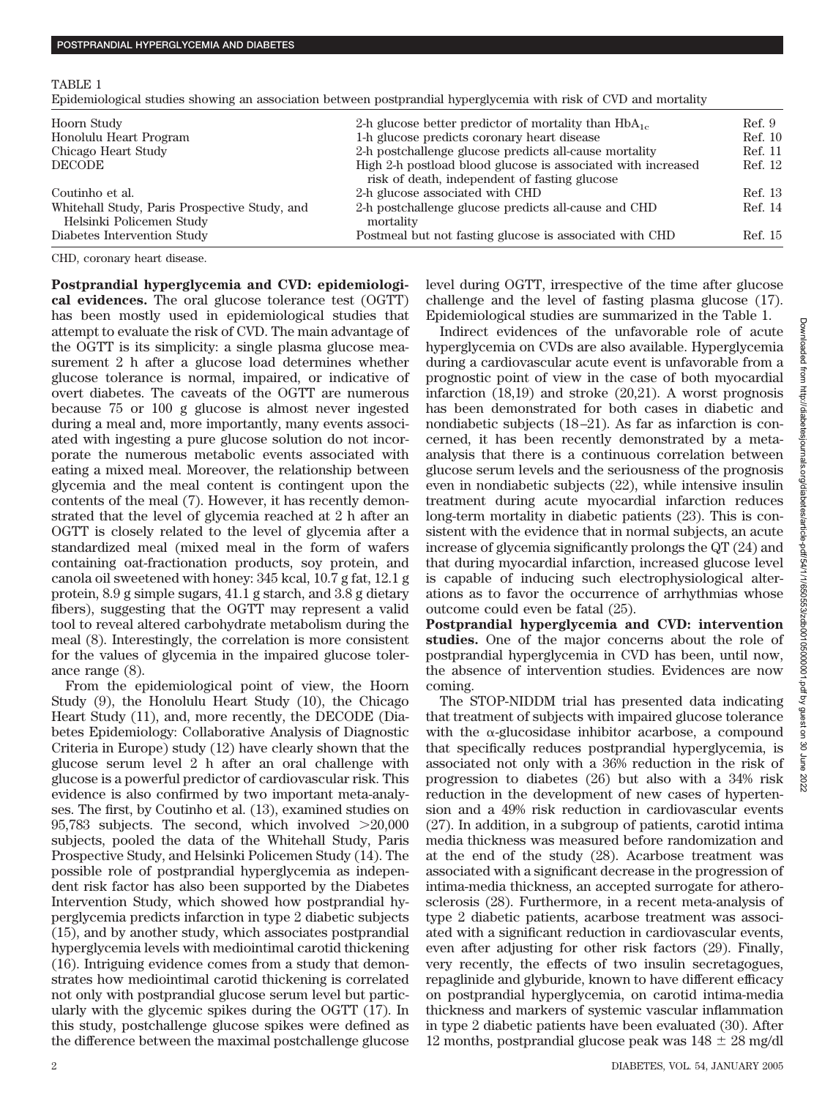Epidemiological studies showing an association between postprandial hyperglycemia with risk of CVD and mortality

| Hoorn Study                                                               | 2-h glucose better predictor of mortality than $HbA_{1c}$                                                     | Ref. 9  |
|---------------------------------------------------------------------------|---------------------------------------------------------------------------------------------------------------|---------|
| Honolulu Heart Program                                                    | 1-h glucose predicts coronary heart disease                                                                   | Ref. 10 |
| Chicago Heart Study                                                       | 2-h postchallenge glucose predicts all-cause mortality                                                        | Ref. 11 |
| <b>DECODE</b>                                                             | High 2-h postload blood glucose is associated with increased<br>risk of death, independent of fasting glucose | Ref. 12 |
| Coutinho et al.                                                           | 2-h glucose associated with CHD                                                                               | Ref. 13 |
| Whitehall Study, Paris Prospective Study, and<br>Helsinki Policemen Study | 2-h postchallenge glucose predicts all-cause and CHD<br>mortality                                             | Ref. 14 |
| Diabetes Intervention Study                                               | Postmeal but not fasting glucose is associated with CHD                                                       | Ref. 15 |

CHD, coronary heart disease.

**Postprandial hyperglycemia and CVD: epidemiological evidences.** The oral glucose tolerance test (OGTT) has been mostly used in epidemiological studies that attempt to evaluate the risk of CVD. The main advantage of the OGTT is its simplicity: a single plasma glucose measurement 2 h after a glucose load determines whether glucose tolerance is normal, impaired, or indicative of overt diabetes. The caveats of the OGTT are numerous because 75 or 100 g glucose is almost never ingested during a meal and, more importantly, many events associated with ingesting a pure glucose solution do not incorporate the numerous metabolic events associated with eating a mixed meal. Moreover, the relationship between glycemia and the meal content is contingent upon the contents of the meal (7). However, it has recently demonstrated that the level of glycemia reached at 2 h after an OGTT is closely related to the level of glycemia after a standardized meal (mixed meal in the form of wafers containing oat-fractionation products, soy protein, and canola oil sweetened with honey: 345 kcal, 10.7 g fat, 12.1 g protein, 8.9 g simple sugars, 41.1 g starch, and 3.8 g dietary fibers), suggesting that the OGTT may represent a valid tool to reveal altered carbohydrate metabolism during the meal (8). Interestingly, the correlation is more consistent for the values of glycemia in the impaired glucose tolerance range (8).

From the epidemiological point of view, the Hoorn Study (9), the Honolulu Heart Study (10), the Chicago Heart Study (11), and, more recently, the DECODE (Diabetes Epidemiology: Collaborative Analysis of Diagnostic Criteria in Europe) study (12) have clearly shown that the glucose serum level 2 h after an oral challenge with glucose is a powerful predictor of cardiovascular risk. This evidence is also confirmed by two important meta-analyses. The first, by Coutinho et al. (13), examined studies on 95,783 subjects. The second, which involved  $>20,000$ subjects, pooled the data of the Whitehall Study, Paris Prospective Study, and Helsinki Policemen Study (14). The possible role of postprandial hyperglycemia as independent risk factor has also been supported by the Diabetes Intervention Study, which showed how postprandial hyperglycemia predicts infarction in type 2 diabetic subjects (15), and by another study, which associates postprandial hyperglycemia levels with mediointimal carotid thickening (16). Intriguing evidence comes from a study that demonstrates how mediointimal carotid thickening is correlated not only with postprandial glucose serum level but particularly with the glycemic spikes during the OGTT (17). In this study, postchallenge glucose spikes were defined as the difference between the maximal postchallenge glucose

level during OGTT, irrespective of the time after glucose challenge and the level of fasting plasma glucose (17). Epidemiological studies are summarized in the Table 1.

Indirect evidences of the unfavorable role of acute hyperglycemia on CVDs are also available. Hyperglycemia during a cardiovascular acute event is unfavorable from a prognostic point of view in the case of both myocardial infarction (18,19) and stroke (20,21). A worst prognosis has been demonstrated for both cases in diabetic and nondiabetic subjects (18–21). As far as infarction is concerned, it has been recently demonstrated by a metaanalysis that there is a continuous correlation between glucose serum levels and the seriousness of the prognosis even in nondiabetic subjects (22), while intensive insulin treatment during acute myocardial infarction reduces long-term mortality in diabetic patients (23). This is consistent with the evidence that in normal subjects, an acute increase of glycemia significantly prolongs the QT (24) and that during myocardial infarction, increased glucose level is capable of inducing such electrophysiological alterations as to favor the occurrence of arrhythmias whose outcome could even be fatal (25).

**Postprandial hyperglycemia and CVD: intervention studies.** One of the major concerns about the role of postprandial hyperglycemia in CVD has been, until now, the absence of intervention studies. Evidences are now coming.

The STOP-NIDDM trial has presented data indicating that treatment of subjects with impaired glucose tolerance with the  $\alpha$ -glucosidase inhibitor acarbose, a compound that specifically reduces postprandial hyperglycemia, is associated not only with a 36% reduction in the risk of progression to diabetes (26) but also with a 34% risk reduction in the development of new cases of hypertension and a 49% risk reduction in cardiovascular events (27). In addition, in a subgroup of patients, carotid intima media thickness was measured before randomization and at the end of the study (28). Acarbose treatment was associated with a significant decrease in the progression of intima-media thickness, an accepted surrogate for atherosclerosis (28). Furthermore, in a recent meta-analysis of type 2 diabetic patients, acarbose treatment was associated with a significant reduction in cardiovascular events, even after adjusting for other risk factors (29). Finally, very recently, the effects of two insulin secretagogues, repaglinide and glyburide, known to have different efficacy on postprandial hyperglycemia, on carotid intima-media thickness and markers of systemic vascular inflammation in type 2 diabetic patients have been evaluated (30). After 12 months, postprandial glucose peak was  $148 \pm 28$  mg/dl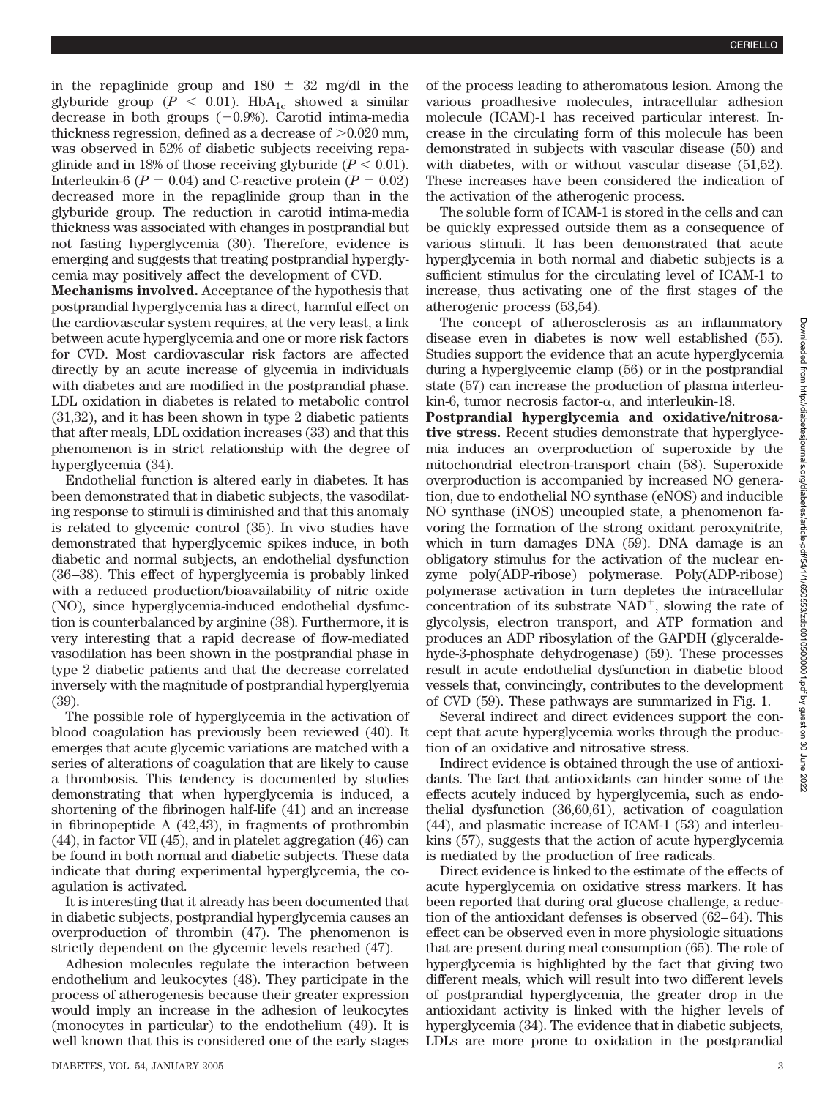in the repaglinide group and  $180 \pm 32$  mg/dl in the glyburide group ( $P < 0.01$ ). HbA<sub>1c</sub> showed a similar decrease in both groups  $(-0.9%)$ . Carotid intima-media thickness regression, defined as a decrease of  $>0.020$  mm, was observed in 52% of diabetic subjects receiving repaglinide and in 18% of those receiving glyburide  $(P < 0.01)$ . Interleukin-6 ( $P = 0.04$ ) and C-reactive protein ( $P = 0.02$ ) decreased more in the repaglinide group than in the glyburide group. The reduction in carotid intima-media thickness was associated with changes in postprandial but not fasting hyperglycemia (30). Therefore, evidence is emerging and suggests that treating postprandial hyperglycemia may positively affect the development of CVD.

**Mechanisms involved.** Acceptance of the hypothesis that postprandial hyperglycemia has a direct, harmful effect on the cardiovascular system requires, at the very least, a link between acute hyperglycemia and one or more risk factors for CVD. Most cardiovascular risk factors are affected directly by an acute increase of glycemia in individuals with diabetes and are modified in the postprandial phase. LDL oxidation in diabetes is related to metabolic control (31,32), and it has been shown in type 2 diabetic patients that after meals, LDL oxidation increases (33) and that this phenomenon is in strict relationship with the degree of hyperglycemia (34).

Endothelial function is altered early in diabetes. It has been demonstrated that in diabetic subjects, the vasodilating response to stimuli is diminished and that this anomaly is related to glycemic control (35). In vivo studies have demonstrated that hyperglycemic spikes induce, in both diabetic and normal subjects, an endothelial dysfunction (36 –38). This effect of hyperglycemia is probably linked with a reduced production/bioavailability of nitric oxide (NO), since hyperglycemia-induced endothelial dysfunction is counterbalanced by arginine (38). Furthermore, it is very interesting that a rapid decrease of flow-mediated vasodilation has been shown in the postprandial phase in type 2 diabetic patients and that the decrease correlated inversely with the magnitude of postprandial hyperglyemia (39).

The possible role of hyperglycemia in the activation of blood coagulation has previously been reviewed (40). It emerges that acute glycemic variations are matched with a series of alterations of coagulation that are likely to cause a thrombosis. This tendency is documented by studies demonstrating that when hyperglycemia is induced, a shortening of the fibrinogen half-life (41) and an increase in fibrinopeptide A (42,43), in fragments of prothrombin (44), in factor VII (45), and in platelet aggregation (46) can be found in both normal and diabetic subjects. These data indicate that during experimental hyperglycemia, the coagulation is activated.

It is interesting that it already has been documented that in diabetic subjects, postprandial hyperglycemia causes an overproduction of thrombin (47). The phenomenon is strictly dependent on the glycemic levels reached (47).

Adhesion molecules regulate the interaction between endothelium and leukocytes (48). They participate in the process of atherogenesis because their greater expression would imply an increase in the adhesion of leukocytes (monocytes in particular) to the endothelium (49). It is well known that this is considered one of the early stages of the process leading to atheromatous lesion. Among the various proadhesive molecules, intracellular adhesion molecule (ICAM)-1 has received particular interest. Increase in the circulating form of this molecule has been demonstrated in subjects with vascular disease (50) and with diabetes, with or without vascular disease (51,52). These increases have been considered the indication of the activation of the atherogenic process.

The soluble form of ICAM-1 is stored in the cells and can be quickly expressed outside them as a consequence of various stimuli. It has been demonstrated that acute hyperglycemia in both normal and diabetic subjects is a sufficient stimulus for the circulating level of ICAM-1 to increase, thus activating one of the first stages of the atherogenic process (53,54).

The concept of atherosclerosis as an inflammatory disease even in diabetes is now well established (55). Studies support the evidence that an acute hyperglycemia during a hyperglycemic clamp (56) or in the postprandial state (57) can increase the production of plasma interleukin-6, tumor necrosis factor- $\alpha$ , and interleukin-18.

**Postprandial hyperglycemia and oxidative/nitrosative stress.** Recent studies demonstrate that hyperglycemia induces an overproduction of superoxide by the mitochondrial electron-transport chain (58). Superoxide overproduction is accompanied by increased NO generation, due to endothelial NO synthase (eNOS) and inducible NO synthase (iNOS) uncoupled state, a phenomenon favoring the formation of the strong oxidant peroxynitrite, which in turn damages DNA (59). DNA damage is an obligatory stimulus for the activation of the nuclear enzyme poly(ADP-ribose) polymerase. Poly(ADP-ribose) polymerase activation in turn depletes the intracellular concentration of its substrate  $NAD^+$ , slowing the rate of glycolysis, electron transport, and ATP formation and produces an ADP ribosylation of the GAPDH (glyceraldehyde-3-phosphate dehydrogenase) (59). These processes result in acute endothelial dysfunction in diabetic blood vessels that, convincingly, contributes to the development of CVD (59). These pathways are summarized in Fig. 1.

Several indirect and direct evidences support the concept that acute hyperglycemia works through the production of an oxidative and nitrosative stress.

Indirect evidence is obtained through the use of antioxidants. The fact that antioxidants can hinder some of the effects acutely induced by hyperglycemia, such as endothelial dysfunction (36,60,61), activation of coagulation (44), and plasmatic increase of ICAM-1 (53) and interleukins (57), suggests that the action of acute hyperglycemia is mediated by the production of free radicals.

Direct evidence is linked to the estimate of the effects of acute hyperglycemia on oxidative stress markers. It has been reported that during oral glucose challenge, a reduction of the antioxidant defenses is observed (62– 64). This effect can be observed even in more physiologic situations that are present during meal consumption (65). The role of hyperglycemia is highlighted by the fact that giving two different meals, which will result into two different levels of postprandial hyperglycemia, the greater drop in the antioxidant activity is linked with the higher levels of hyperglycemia (34). The evidence that in diabetic subjects, LDLs are more prone to oxidation in the postprandial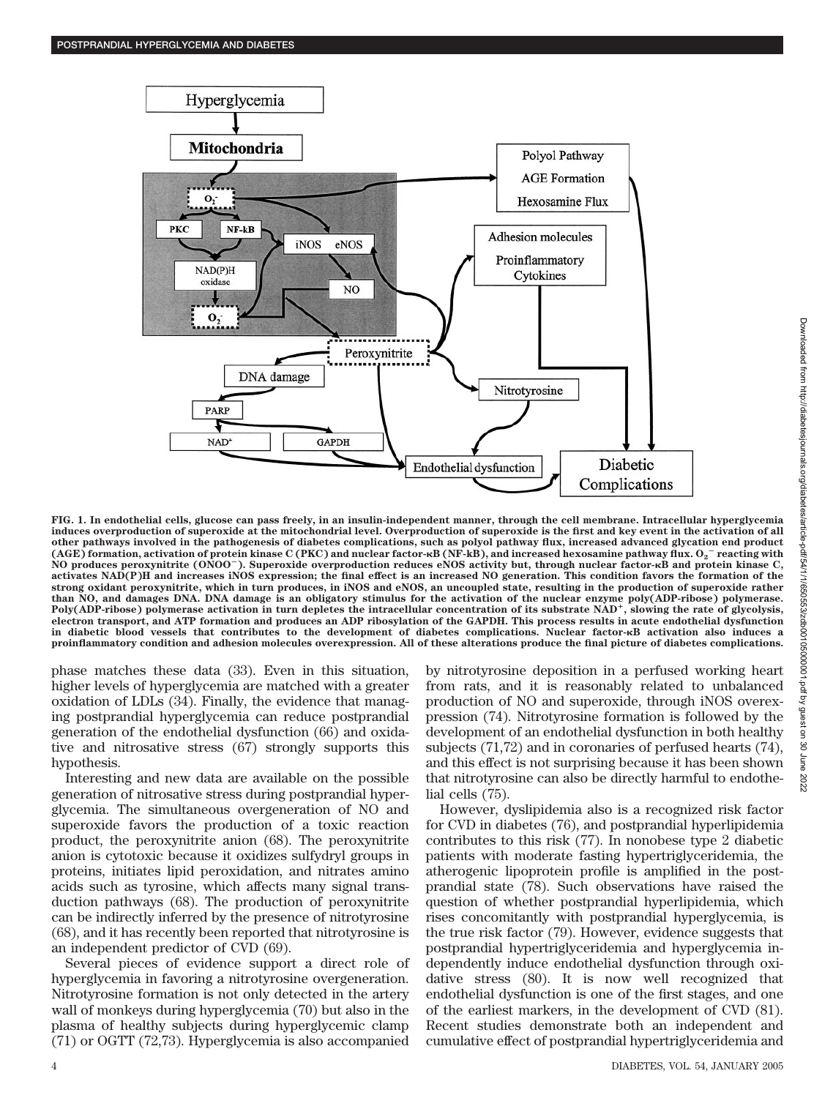

**FIG. 1. In endothelial cells, glucose can pass freely, in an insulin-independent manner, through the cell membrane. Intracellular hyperglycemia induces overproduction of superoxide at the mitochondrial level. Overproduction of superoxide is the first and key event in the activation of all other pathways involved in the pathogenesis of diabetes complications, such as polyol pathway flux, increased advanced glycation end product (AGE) formation, activation of protein kinase C (PKC) and nuclear factor-B (NF-kB), and increased hexosamine pathway flux. O2** - **reacting with NO produces peroxynitrite (ONOO**-**). Superoxide overproduction reduces eNOS activity but, through nuclear factor-B and protein kinase C, activates NAD(P)H and increases iNOS expression; the final effect is an increased NO generation. This condition favors the formation of the strong oxidant peroxynitrite, which in turn produces, in iNOS and eNOS, an uncoupled state, resulting in the production of superoxide rather than NO, and damages DNA. DNA damage is an obligatory stimulus for the activation of the nuclear enzyme poly(ADP-ribose) polymerase. Poly(ADP-ribose) polymerase activation in turn depletes the intracellular concentration of its substrate NAD, slowing the rate of glycolysis, electron transport, and ATP formation and produces an ADP ribosylation of the GAPDH. This process results in acute endothelial dysfunction in diabetic blood vessels that contributes to the development of diabetes complications. Nuclear factor-B activation also induces a proinflammatory condition and adhesion molecules overexpression. All of these alterations produce the final picture of diabetes complications.**

phase matches these data (33). Even in this situation, higher levels of hyperglycemia are matched with a greater oxidation of LDLs (34). Finally, the evidence that managing postprandial hyperglycemia can reduce postprandial generation of the endothelial dysfunction (66) and oxidative and nitrosative stress (67) strongly supports this hypothesis.

Interesting and new data are available on the possible generation of nitrosative stress during postprandial hyperglycemia. The simultaneous overgeneration of NO and superoxide favors the production of a toxic reaction product, the peroxynitrite anion (68). The peroxynitrite anion is cytotoxic because it oxidizes sulfydryl groups in proteins, initiates lipid peroxidation, and nitrates amino acids such as tyrosine, which affects many signal transduction pathways (68). The production of peroxynitrite can be indirectly inferred by the presence of nitrotyrosine (68), and it has recently been reported that nitrotyrosine is an independent predictor of CVD (69).

Several pieces of evidence support a direct role of hyperglycemia in favoring a nitrotyrosine overgeneration. Nitrotyrosine formation is not only detected in the artery wall of monkeys during hyperglycemia (70) but also in the plasma of healthy subjects during hyperglycemic clamp (71) or OGTT (72,73). Hyperglycemia is also accompanied

by nitrotyrosine deposition in a perfused working heart from rats, and it is reasonably related to unbalanced production of NO and superoxide, through iNOS overexpression (74). Nitrotyrosine formation is followed by the development of an endothelial dysfunction in both healthy subjects (71,72) and in coronaries of perfused hearts (74), and this effect is not surprising because it has been shown that nitrotyrosine can also be directly harmful to endothelial cells (75).

However, dyslipidemia also is a recognized risk factor for CVD in diabetes (76), and postprandial hyperlipidemia contributes to this risk (77). In nonobese type 2 diabetic patients with moderate fasting hypertriglyceridemia, the atherogenic lipoprotein profile is amplified in the postprandial state (78). Such observations have raised the question of whether postprandial hyperlipidemia, which rises concomitantly with postprandial hyperglycemia, is the true risk factor (79). However, evidence suggests that postprandial hypertriglyceridemia and hyperglycemia independently induce endothelial dysfunction through oxidative stress (80). It is now well recognized that endothelial dysfunction is one of the first stages, and one of the earliest markers, in the development of CVD (81). Recent studies demonstrate both an independent and cumulative effect of postprandial hypertriglyceridemia and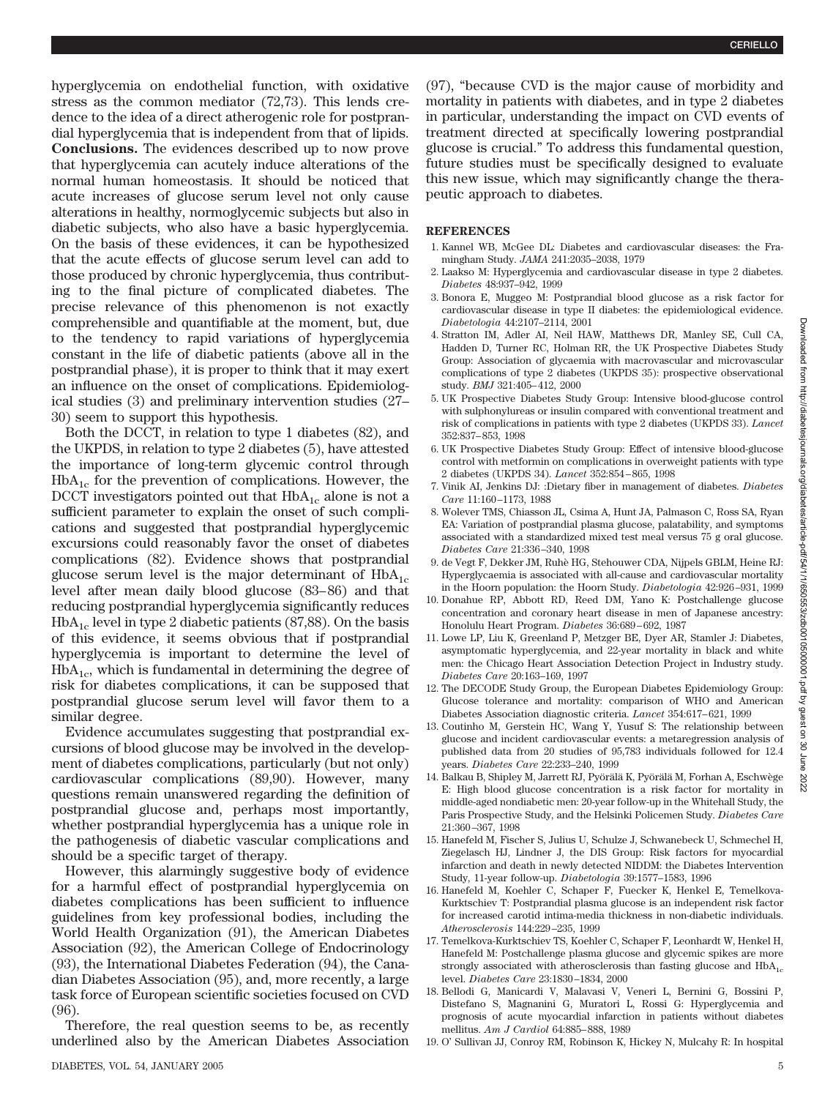hyperglycemia on endothelial function, with oxidative stress as the common mediator (72,73). This lends credence to the idea of a direct atherogenic role for postprandial hyperglycemia that is independent from that of lipids. **Conclusions.** The evidences described up to now prove that hyperglycemia can acutely induce alterations of the normal human homeostasis. It should be noticed that acute increases of glucose serum level not only cause alterations in healthy, normoglycemic subjects but also in diabetic subjects, who also have a basic hyperglycemia. On the basis of these evidences, it can be hypothesized that the acute effects of glucose serum level can add to those produced by chronic hyperglycemia, thus contributing to the final picture of complicated diabetes. The precise relevance of this phenomenon is not exactly comprehensible and quantifiable at the moment, but, due to the tendency to rapid variations of hyperglycemia constant in the life of diabetic patients (above all in the postprandial phase), it is proper to think that it may exert an influence on the onset of complications. Epidemiological studies (3) and preliminary intervention studies (27– 30) seem to support this hypothesis.

Both the DCCT, in relation to type 1 diabetes (82), and the UKPDS, in relation to type 2 diabetes (5), have attested the importance of long-term glycemic control through  $HbA_{1c}$  for the prevention of complications. However, the DCCT investigators pointed out that  $HbA_{1c}$  alone is not a sufficient parameter to explain the onset of such complications and suggested that postprandial hyperglycemic excursions could reasonably favor the onset of diabetes complications (82). Evidence shows that postprandial glucose serum level is the major determinant of  $HbA_{1c}$ level after mean daily blood glucose (83– 86) and that reducing postprandial hyperglycemia significantly reduces  $HbA<sub>1c</sub>$  level in type 2 diabetic patients (87,88). On the basis of this evidence, it seems obvious that if postprandial hyperglycemia is important to determine the level of  $HbA_{1c}$ , which is fundamental in determining the degree of risk for diabetes complications, it can be supposed that postprandial glucose serum level will favor them to a similar degree.

Evidence accumulates suggesting that postprandial excursions of blood glucose may be involved in the development of diabetes complications, particularly (but not only) cardiovascular complications (89,90). However, many questions remain unanswered regarding the definition of postprandial glucose and, perhaps most importantly, whether postprandial hyperglycemia has a unique role in the pathogenesis of diabetic vascular complications and should be a specific target of therapy.

However, this alarmingly suggestive body of evidence for a harmful effect of postprandial hyperglycemia on diabetes complications has been sufficient to influence guidelines from key professional bodies, including the World Health Organization (91), the American Diabetes Association (92), the American College of Endocrinology (93), the International Diabetes Federation (94), the Canadian Diabetes Association (95), and, more recently, a large task force of European scientific societies focused on CVD (96).

Therefore, the real question seems to be, as recently underlined also by the American Diabetes Association (97), "because CVD is the major cause of morbidity and mortality in patients with diabetes, and in type 2 diabetes in particular, understanding the impact on CVD events of treatment directed at specifically lowering postprandial glucose is crucial." To address this fundamental question, future studies must be specifically designed to evaluate this new issue, which may significantly change the therapeutic approach to diabetes.

## **REFERENCES**

- 1. Kannel WB, McGee DL: Diabetes and cardiovascular diseases: the Framingham Study. *JAMA* 241:2035–2038, 1979
- 2. Laakso M: Hyperglycemia and cardiovascular disease in type 2 diabetes. *Diabetes* 48:937–942, 1999
- 3. Bonora E, Muggeo M: Postprandial blood glucose as a risk factor for cardiovascular disease in type II diabetes: the epidemiological evidence. *Diabetologia* 44:2107–2114, 2001
- 4. Stratton IM, Adler AI, Neil HAW, Matthews DR, Manley SE, Cull CA, Hadden D, Turner RC, Holman RR, the UK Prospective Diabetes Study Group: Association of glycaemia with macrovascular and microvascular complications of type 2 diabetes (UKPDS 35): prospective observational study. *BMJ* 321:405– 412, 2000
- 5. UK Prospective Diabetes Study Group: Intensive blood-glucose control with sulphonylureas or insulin compared with conventional treatment and risk of complications in patients with type 2 diabetes (UKPDS 33). *Lancet* 352:837– 853, 1998
- 6. UK Prospective Diabetes Study Group: Effect of intensive blood-glucose control with metformin on complications in overweight patients with type 2 diabetes (UKPDS 34). *Lancet* 352:854 – 865, 1998
- 7. Vinik AI, Jenkins DJ: :Dietary fiber in management of diabetes. *Diabetes Care* 11:160 –1173, 1988
- 8. Wolever TMS, Chiasson JL, Csima A, Hunt JA, Palmason C, Ross SA, Ryan EA: Variation of postprandial plasma glucose, palatability, and symptoms associated with a standardized mixed test meal versus 75 g oral glucose. *Diabetes Care* 21:336 –340, 1998
- 9. de Vegt F, Dekker JM, Ruhe` HG, Stehouwer CDA, Nijpels GBLM, Heine RJ: Hyperglycaemia is associated with all-cause and cardiovascular mortality in the Hoorn population: the Hoorn Study. *Diabetologia* 42:926 –931, 1999
- 10. Donahue RP, Abbott RD, Reed DM, Yano K: Postchallenge glucose concentration and coronary heart disease in men of Japanese ancestry: Honolulu Heart Program. *Diabetes* 36:689 – 692, 1987
- 11. Lowe LP, Liu K, Greenland P, Metzger BE, Dyer AR, Stamler J: Diabetes, asymptomatic hyperglycemia, and 22-year mortality in black and white men: the Chicago Heart Association Detection Project in Industry study. *Diabetes Care* 20:163–169, 1997
- 12. The DECODE Study Group, the European Diabetes Epidemiology Group: Glucose tolerance and mortality: comparison of WHO and American Diabetes Association diagnostic criteria. *Lancet* 354:617– 621, 1999
- 13. Coutinho M, Gerstein HC, Wang Y, Yusuf S: The relationship between glucose and incident cardiovascular events: a metaregression analysis of published data from 20 studies of 95,783 individuals followed for 12.4 years. *Diabetes Care* 22:233–240, 1999
- 14. Balkau B, Shipley M, Jarrett RJ, Pyörälä K, Pyörälä M, Forhan A, Eschwège E: High blood glucose concentration is a risk factor for mortality in middle-aged nondiabetic men: 20-year follow-up in the Whitehall Study, the Paris Prospective Study, and the Helsinki Policemen Study. *Diabetes Care* 21:360 –367, 1998
- 15. Hanefeld M, Fischer S, Julius U, Schulze J, Schwanebeck U, Schmechel H, Ziegelasch HJ, Lindner J, the DIS Group: Risk factors for myocardial infarction and death in newly detected NIDDM: the Diabetes Intervention Study, 11-year follow-up. *Diabetologia* 39:1577–1583, 1996
- 16. Hanefeld M, Koehler C, Schaper F, Fuecker K, Henkel E, Temelkova-Kurktschiev T: Postprandial plasma glucose is an independent risk factor for increased carotid intima-media thickness in non-diabetic individuals. *Atherosclerosis* 144:229 –235, 1999
- 17. Temelkova-Kurktschiev TS, Koehler C, Schaper F, Leonhardt W, Henkel H, Hanefeld M: Postchallenge plasma glucose and glycemic spikes are more strongly associated with atherosclerosis than fasting glucose and  $HbA<sub>1c</sub>$ level. *Diabetes Care* 23:1830 –1834, 2000
- 18. Bellodi G, Manicardi V, Malavasi V, Veneri L, Bernini G, Bossini P, Distefano S, Magnanini G, Muratori L, Rossi G: Hyperglycemia and prognosis of acute myocardial infarction in patients without diabetes mellitus. *Am J Cardiol* 64:885– 888, 1989
- 19. O' Sullivan JJ, Conroy RM, Robinson K, Hickey N, Mulcahy R: In hospital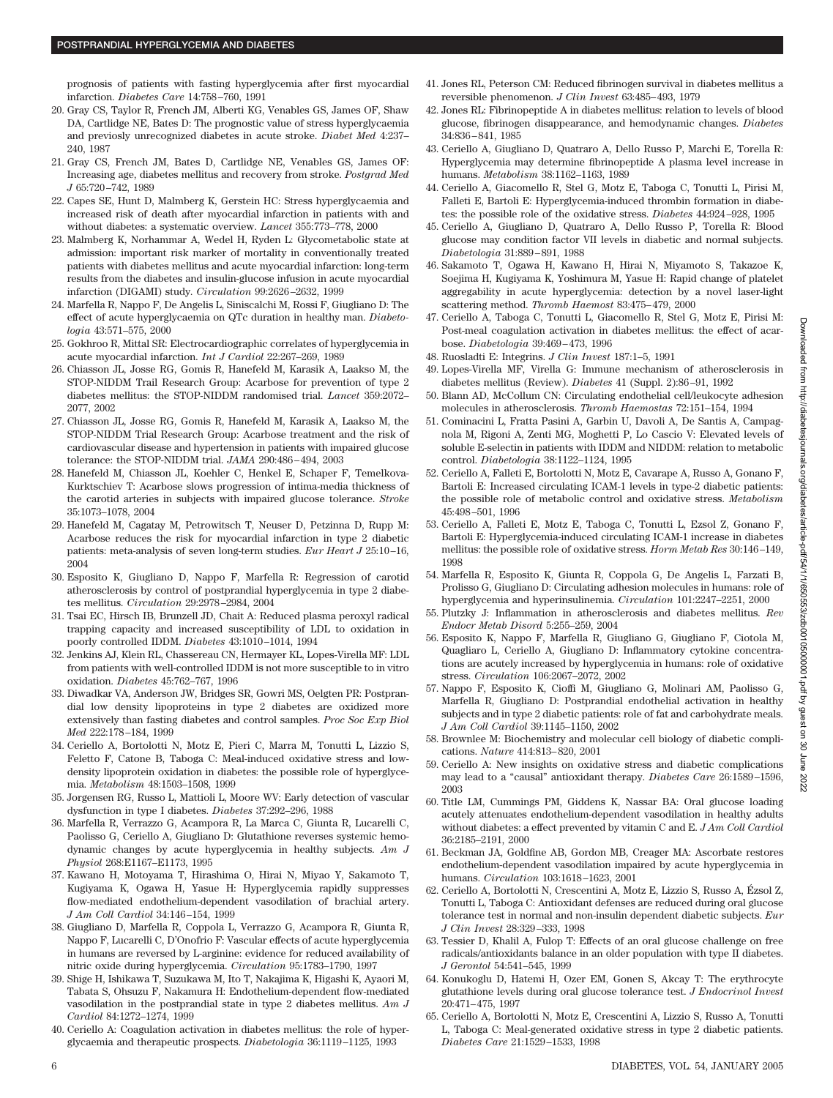prognosis of patients with fasting hyperglycemia after first myocardial infarction. *Diabetes Care* 14:758 –760, 1991

- 20. Gray CS, Taylor R, French JM, Alberti KG, Venables GS, James OF, Shaw DA, Cartlidge NE, Bates D: The prognostic value of stress hyperglycaemia and previosly unrecognized diabetes in acute stroke. *Diabet Med* 4:237– 240, 1987
- 21. Gray CS, French JM, Bates D, Cartlidge NE, Venables GS, James OF: Increasing age, diabetes mellitus and recovery from stroke. *Postgrad Med J* 65:720 –742, 1989
- 22. Capes SE, Hunt D, Malmberg K, Gerstein HC: Stress hyperglycaemia and increased risk of death after myocardial infarction in patients with and without diabetes: a systematic overview. *Lancet* 355:773–778, 2000
- 23. Malmberg K, Norhammar A, Wedel H, Ryden L: Glycometabolic state at admission: important risk marker of mortality in conventionally treated patients with diabetes mellitus and acute myocardial infarction: long-term results from the diabetes and insulin-glucose infusion in acute myocardial infarction (DIGAMI) study. *Circulation* 99:2626 –2632, 1999
- 24. Marfella R, Nappo F, De Angelis L, Siniscalchi M, Rossi F, Giugliano D: The effect of acute hyperglycaemia on QTc duration in healthy man. *Diabetologia* 43:571–575, 2000
- 25. Gokhroo R, Mittal SR: Electrocardiographic correlates of hyperglycemia in acute myocardial infarction. *Int J Cardiol* 22:267–269, 1989
- 26. Chiasson JL, Josse RG, Gomis R, Hanefeld M, Karasik A, Laakso M, the STOP-NIDDM Trail Research Group: Acarbose for prevention of type 2 diabetes mellitus: the STOP-NIDDM randomised trial. *Lancet* 359:2072– 2077, 2002
- 27. Chiasson JL, Josse RG, Gomis R, Hanefeld M, Karasik A, Laakso M, the STOP-NIDDM Trial Research Group: Acarbose treatment and the risk of cardiovascular disease and hypertension in patients with impaired glucose tolerance: the STOP-NIDDM trial. *JAMA* 290:486 – 494, 2003
- 28. Hanefeld M, Chiasson JL, Koehler C, Henkel E, Schaper F, Temelkova-Kurktschiev T: Acarbose slows progression of intima-media thickness of the carotid arteries in subjects with impaired glucose tolerance. *Stroke* 35:1073–1078, 2004
- 29. Hanefeld M, Cagatay M, Petrowitsch T, Neuser D, Petzinna D, Rupp M: Acarbose reduces the risk for myocardial infarction in type 2 diabetic patients: meta-analysis of seven long-term studies. *Eur Heart J* 25:10 –16, 2004
- 30. Esposito K, Giugliano D, Nappo F, Marfella R: Regression of carotid atherosclerosis by control of postprandial hyperglycemia in type 2 diabetes mellitus. *Circulation* 29:2978 –2984, 2004
- 31. Tsai EC, Hirsch IB, Brunzell JD, Chait A: Reduced plasma peroxyl radical trapping capacity and increased susceptibility of LDL to oxidation in poorly controlled IDDM. *Diabetes* 43:1010 –1014, 1994
- 32. Jenkins AJ, Klein RL, Chassereau CN, Hermayer KL, Lopes-Virella MF: LDL from patients with well-controlled IDDM is not more susceptible to in vitro oxidation. *Diabetes* 45:762–767, 1996
- 33. Diwadkar VA, Anderson JW, Bridges SR, Gowri MS, Oelgten PR: Postprandial low density lipoproteins in type 2 diabetes are oxidized more extensively than fasting diabetes and control samples. *Proc Soc Exp Biol Med* 222:178 –184, 1999
- 34. Ceriello A, Bortolotti N, Motz E, Pieri C, Marra M, Tonutti L, Lizzio S, Feletto F, Catone B, Taboga C: Meal-induced oxidative stress and lowdensity lipoprotein oxidation in diabetes: the possible role of hyperglycemia. *Metabolism* 48:1503–1508, 1999
- 35. Jorgensen RG, Russo L, Mattioli L, Moore WV: Early detection of vascular dysfunction in type I diabetes. *Diabetes* 37:292–296, 1988
- 36. Marfella R, Verrazzo G, Acampora R, La Marca C, Giunta R, Lucarelli C, Paolisso G, Ceriello A, Giugliano D: Glutathione reverses systemic hemodynamic changes by acute hyperglycemia in healthy subjects. *Am J Physiol* 268:E1167–E1173, 1995
- 37. Kawano H, Motoyama T, Hirashima O, Hirai N, Miyao Y, Sakamoto T, Kugiyama K, Ogawa H, Yasue H: Hyperglycemia rapidly suppresses flow-mediated endothelium-dependent vasodilation of brachial artery. *J Am Coll Cardiol* 34:146 –154, 1999
- 38. Giugliano D, Marfella R, Coppola L, Verrazzo G, Acampora R, Giunta R, Nappo F, Lucarelli C, D'Onofrio F: Vascular effects of acute hyperglycemia in humans are reversed by L-arginine: evidence for reduced availability of nitric oxide during hyperglycemia. *Circulation* 95:1783–1790, 1997
- 39. Shige H, Ishikawa T, Suzukawa M, Ito T, Nakajima K, Higashi K, Ayaori M, Tabata S, Ohsuzu F, Nakamura H: Endothelium-dependent flow-mediated vasodilation in the postprandial state in type 2 diabetes mellitus. *Am J Cardiol* 84:1272–1274, 1999
- 40. Ceriello A: Coagulation activation in diabetes mellitus: the role of hyperglycaemia and therapeutic prospects. *Diabetologia* 36:1119 –1125, 1993
- 41. Jones RL, Peterson CM: Reduced fibrinogen survival in diabetes mellitus a reversible phenomenon. *J Clin Invest* 63:485– 493, 1979
- 42. Jones RL: Fibrinopeptide A in diabetes mellitus: relation to levels of blood glucose, fibrinogen disappearance, and hemodynamic changes. *Diabetes* 34:836 – 841, 1985
- 43. Ceriello A, Giugliano D, Quatraro A, Dello Russo P, Marchi E, Torella R: Hyperglycemia may determine fibrinopeptide A plasma level increase in humans. *Metabolism* 38:1162–1163, 1989
- 44. Ceriello A, Giacomello R, Stel G, Motz E, Taboga C, Tonutti L, Pirisi M, Falleti E, Bartoli E: Hyperglycemia-induced thrombin formation in diabetes: the possible role of the oxidative stress. *Diabetes* 44:924 –928, 1995
- 45. Ceriello A, Giugliano D, Quatraro A, Dello Russo P, Torella R: Blood glucose may condition factor VII levels in diabetic and normal subjects. *Diabetologia* 31:889 – 891, 1988
- 46. Sakamoto T, Ogawa H, Kawano H, Hirai N, Miyamoto S, Takazoe K, Soejima H, Kugiyama K, Yoshimura M, Yasue H: Rapid change of platelet aggregability in acute hyperglycemia: detection by a novel laser-light scattering method. *Thromb Haemost* 83:475– 479, 2000
- 47. Ceriello A, Taboga C, Tonutti L, Giacomello R, Stel G, Motz E, Pirisi M: Post-meal coagulation activation in diabetes mellitus: the effect of acarbose. *Diabetologia* 39:469 – 473, 1996
- 48. Ruosladti E: Integrins. *J Clin Invest* 187:1–5, 1991
- 49. Lopes-Virella MF, Virella G: Immune mechanism of atherosclerosis in diabetes mellitus (Review). *Diabetes* 41 (Suppl. 2):86 –91, 1992
- 50. Blann AD, McCollum CN: Circulating endothelial cell/leukocyte adhesion molecules in atherosclerosis. *Thromb Haemostas* 72:151–154, 1994
- 51. Cominacini L, Fratta Pasini A, Garbin U, Davoli A, De Santis A, Campagnola M, Rigoni A, Zenti MG, Moghetti P, Lo Cascio V: Elevated levels of soluble E-selectin in patients with IDDM and NIDDM: relation to metabolic control. *Diabetologia* 38:1122–1124, 1995
- 52. Ceriello A, Falleti E, Bortolotti N, Motz E, Cavarape A, Russo A, Gonano F, Bartoli E: Increased circulating ICAM-1 levels in type-2 diabetic patients: the possible role of metabolic control and oxidative stress. *Metabolism* 45:498 –501, 1996
- 53. Ceriello A, Falleti E, Motz E, Taboga C, Tonutti L, Ezsol Z, Gonano F, Bartoli E: Hyperglycemia-induced circulating ICAM-1 increase in diabetes mellitus: the possible role of oxidative stress. *Horm Metab Res* 30:146 –149, 1998
- 54. Marfella R, Esposito K, Giunta R, Coppola G, De Angelis L, Farzati B, Prolisso G, Giugliano D: Circulating adhesion molecules in humans: role of hyperglycemia and hyperinsulinemia. *Circulation* 101:2247–2251, 2000
- 55. Plutzky J: Inflammation in atherosclerosis and diabetes mellitus. *Rev Endocr Metab Disord* 5:255–259, 2004
- 56. Esposito K, Nappo F, Marfella R, Giugliano G, Giugliano F, Ciotola M, Quagliaro L, Ceriello A, Giugliano D: Inflammatory cytokine concentrations are acutely increased by hyperglycemia in humans: role of oxidative stress. *Circulation* 106:2067–2072, 2002
- 57. Nappo F, Esposito K, Cioffi M, Giugliano G, Molinari AM, Paolisso G, Marfella R, Giugliano D: Postprandial endothelial activation in healthy subjects and in type 2 diabetic patients: role of fat and carbohydrate meals. *J Am Coll Cardiol* 39:1145–1150, 2002
- 58. Brownlee M: Biochemistry and molecular cell biology of diabetic complications. *Nature* 414:813– 820, 2001
- 59. Ceriello A: New insights on oxidative stress and diabetic complications may lead to a "causal" antioxidant therapy. *Diabetes Care* 26:1589 –1596, 2003
- 60. Title LM, Cummings PM, Giddens K, Nassar BA: Oral glucose loading acutely attenuates endothelium-dependent vasodilation in healthy adults without diabetes: a effect prevented by vitamin C and E. *J Am Coll Cardiol* 36:2185–2191, 2000
- 61. Beckman JA, Goldfine AB, Gordon MB, Creager MA: Ascorbate restores endothelium-dependent vasodilation impaired by acute hyperglycemia in humans. *Circulation* 103:1618 –1623, 2001
- 62. Ceriello A, Bortolotti N, Crescentini A, Motz E, Lizzio S, Russo A, Ézsol Z, Tonutti L, Taboga C: Antioxidant defenses are reduced during oral glucose tolerance test in normal and non-insulin dependent diabetic subjects. *Eur J Clin Invest* 28:329 –333, 1998
- 63. Tessier D, Khalil A, Fulop T: Effects of an oral glucose challenge on free radicals/antioxidants balance in an older population with type II diabetes. *J Gerontol* 54:541–545, 1999
- 64. Konukoglu D, Hatemi H, Ozer EM, Gonen S, Akcay T: The erythrocyte glutathione levels during oral glucose tolerance test. *J Endocrinol Invest* 20:471– 475, 1997
- 65. Ceriello A, Bortolotti N, Motz E, Crescentini A, Lizzio S, Russo A, Tonutti L, Taboga C: Meal-generated oxidative stress in type 2 diabetic patients. *Diabetes Care* 21:1529 –1533, 1998